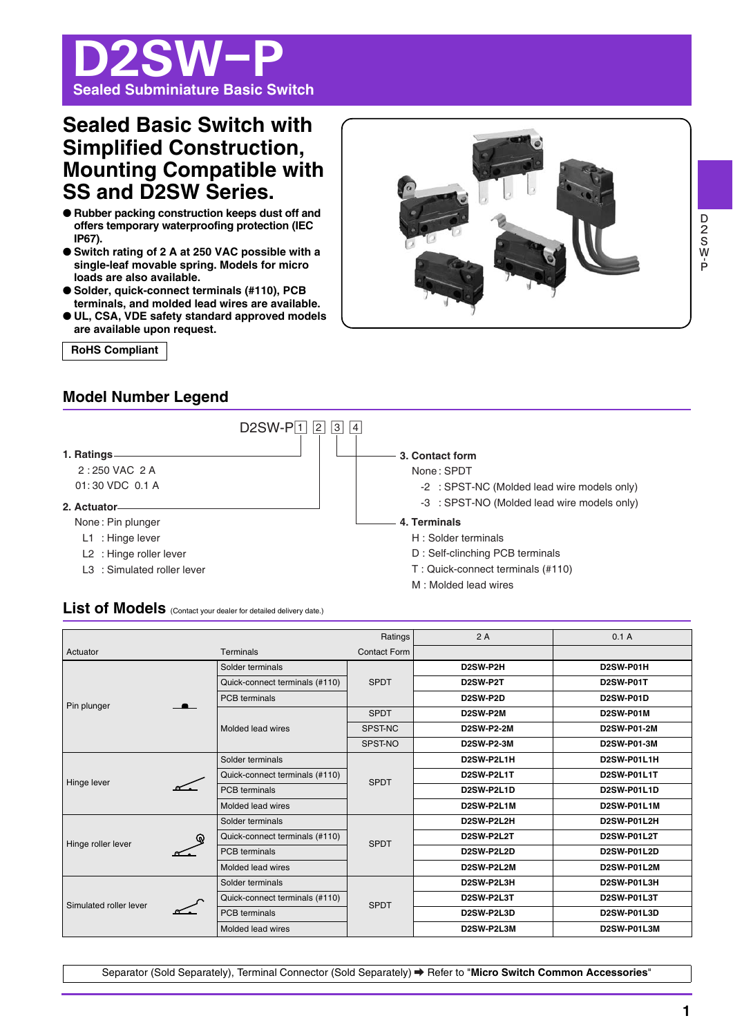# D2SW-P **Sealed Subminiature Basic Switch**

# **Sealed Basic Switch with Simplified Construction, Mounting Compatible with SS and D2SW Series.**

- **Rubber packing construction keeps dust off and offers temporary waterproofing protection (IEC IP67).**
- Switch rating of 2 A at 250 VAC possible with a **single-leaf movable spring. Models for micro loads are also available.**
- Solder, quick-connect terminals (#110), PCB **terminals, and molded lead wires are available.**
- **UL, CSA, VDE safety standard approved models are available upon request.**

**RoHS Compliant** 



# **Model Number Legend**



# List of Models (Contact your dealer for detailed delivery date.)

|                        |   |                                | Ratings             | 2A                                | 0.1A               |
|------------------------|---|--------------------------------|---------------------|-----------------------------------|--------------------|
| Actuator               |   | Terminals                      | <b>Contact Form</b> |                                   |                    |
|                        |   | Solder terminals               |                     | D2SW-P2H                          | D2SW-P01H          |
|                        |   | Quick-connect terminals (#110) | <b>SPDT</b>         | D2SW-P2T                          | D2SW-P01T          |
| Pin plunger            |   | <b>PCB</b> terminals           |                     | D <sub>2</sub> SW-P <sub>2D</sub> | <b>D2SW-P01D</b>   |
|                        |   |                                | <b>SPDT</b>         | D2SW-P2M                          | D2SW-P01M          |
|                        |   | Molded lead wires              | SPST-NC             | <b>D2SW-P2-2M</b>                 | <b>D2SW-P01-2M</b> |
|                        |   |                                | SPST-NO             | <b>D2SW-P2-3M</b>                 | D2SW-P01-3M        |
|                        |   | Solder terminals               | <b>SPDT</b>         | D2SW-P2L1H                        | D2SW-P01L1H        |
| Hinge lever            |   | Quick-connect terminals (#110) |                     | D2SW-P2L1T                        | D2SW-P01L1T        |
|                        |   | <b>PCB</b> terminals           |                     | D2SW-P2L1D                        | D2SW-P01L1D        |
|                        |   | Molded lead wires              |                     | D2SW-P2L1M                        | D2SW-P01L1M        |
|                        | ⋒ | Solder terminals               |                     | D2SW-P2L2H                        | D2SW-P01L2H        |
| Hinge roller lever     |   | Quick-connect terminals (#110) | <b>SPDT</b>         | D2SW-P2L2T                        | D2SW-P01L2T        |
|                        |   | <b>PCB</b> terminals           |                     | D2SW-P2L2D                        | <b>D2SW-P01L2D</b> |
|                        |   | Molded lead wires              |                     | D2SW-P2L2M                        | D2SW-P01L2M        |
| Simulated roller lever |   | Solder terminals               |                     | D2SW-P2L3H                        | D2SW-P01L3H        |
|                        |   | Quick-connect terminals (#110) | <b>SPDT</b>         | D2SW-P2L3T                        | D2SW-P01L3T        |
|                        |   | <b>PCB</b> terminals           |                     | D2SW-P2L3D                        | D2SW-P01L3D        |
|                        |   | Molded lead wires              |                     | D2SW-P2L3M                        | D2SW-P01L3M        |

Separator (Sold Separately), Terminal Connector (Sold Separately) → Refer to "Micro Switch Common Accessories'

**D-SOOD**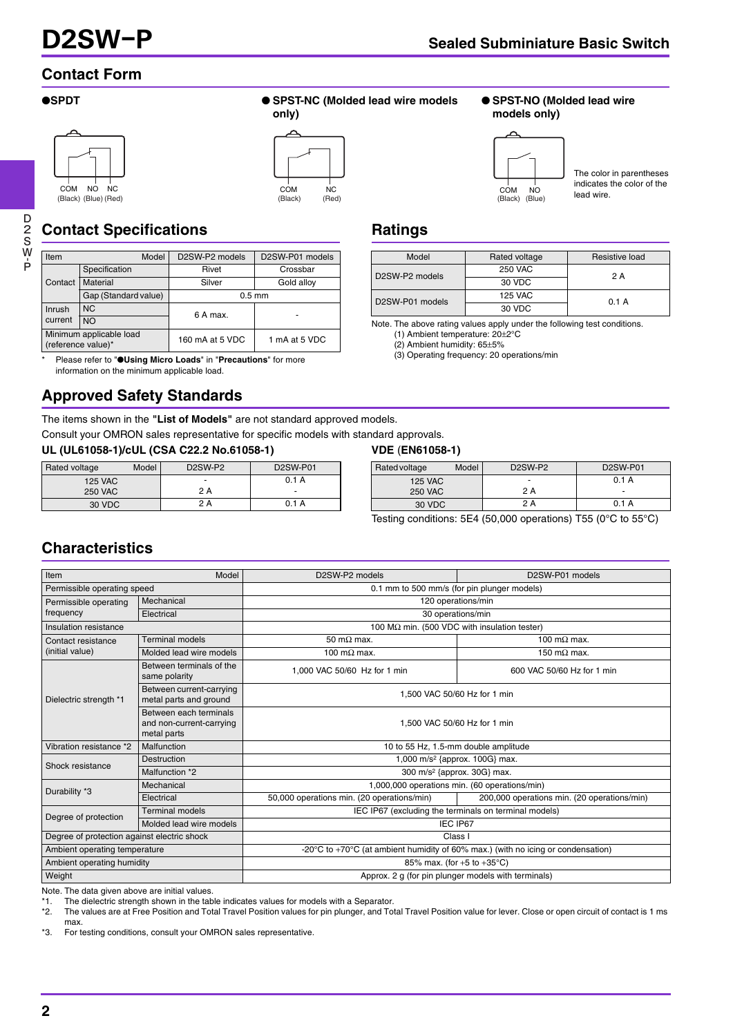# **Contact Form**







# **Contact Specifications**

| Item                                          | Model                | D2SW-P2 models  | D2SW-P01 models |  |
|-----------------------------------------------|----------------------|-----------------|-----------------|--|
|                                               | Specification        | Rivet           | Crossbar        |  |
| Contact                                       | Material             | Silver          | Gold alloy      |  |
|                                               | Gap (Standard value) | $0.5$ mm        |                 |  |
| N <sub>C</sub><br>Inrush                      |                      | 6 A max.        |                 |  |
| current                                       | <b>NO</b>            |                 |                 |  |
| Minimum applicable load<br>(reference value)* |                      | 160 mA at 5 VDC | 1 mA at 5 VDC   |  |

\* Please refer to "●**Using Micro Loads**" in "**Precautions**" for more information on the minimum applicable load.

# **Approved Safety Standards**

The items shown in the **"List of Models"** are not standard approved models.

Consult your OMRON sales representative for specific models with standard approvals.

**UL (UL61058-1)/cUL (CSA C22.2 No.61058-1) VDE** (**EN61058-1)** 

| Model<br>Rated voltage |  | D <sub>2</sub> SW-P <sub>2</sub> | <b>D2SW-P01</b> |
|------------------------|--|----------------------------------|-----------------|
| <b>125 VAC</b>         |  | $\blacksquare$                   | 0.1 A           |
| <b>250 VAC</b>         |  | 2 A                              | ٠               |
| 30 VDC                 |  | 2 A                              | 0.1 A           |

# **models only)**

● **SPST-NO (Molded lead wire** 



The color in parentheses indicates the color of the lead wire.

# **Ratings**

| Model           | Rated voltage  | Resistive load |  |
|-----------------|----------------|----------------|--|
| D2SW-P2 models  | <b>250 VAC</b> | 2A             |  |
|                 | 30 VDC         |                |  |
| D2SW-P01 models | 125 VAC        | 0.1A           |  |
|                 | 30 VDC         |                |  |

Note. The above rating values apply under the following test conditions. (1) Ambient temperature: 20±2°C

(2) Ambient humidity: 65±5%

(3) Operating frequency: 20 operations/min

| Rated voltage  | Model | D <sub>2</sub> SW-P <sub>2</sub> | <b>D2SW-P01</b>          |
|----------------|-------|----------------------------------|--------------------------|
| <b>125 VAC</b> |       | ٠                                | 0.1A                     |
| <b>250 VAC</b> |       | 2 A                              | $\overline{\phantom{0}}$ |
| 30 VDC         |       | 2 A                              | 0.1A                     |

Testing conditions: 5E4 (50,000 operations) T55 (0°C to 55°C)

# **Characteristics**

| Item<br>Model                                   |                                                                   | D2SW-P2 models<br>D2SW-P01 models                                                                    |                                             |  |  |
|-------------------------------------------------|-------------------------------------------------------------------|------------------------------------------------------------------------------------------------------|---------------------------------------------|--|--|
| Permissible operating speed                     |                                                                   | 0.1 mm to 500 mm/s (for pin plunger models)                                                          |                                             |  |  |
| Mechanical<br>Permissible operating             |                                                                   | 120 operations/min                                                                                   |                                             |  |  |
| frequency                                       | Electrical                                                        | 30 operations/min                                                                                    |                                             |  |  |
| Insulation resistance                           |                                                                   | 100 MΩ min. (500 VDC with insulation tester)                                                         |                                             |  |  |
| Contact resistance                              | <b>Terminal models</b>                                            | 50 m $\Omega$ max.                                                                                   | 100 m $\Omega$ max.                         |  |  |
| (initial value)                                 | Molded lead wire models                                           | 100 m $\Omega$ max.                                                                                  | 150 m $\Omega$ max.                         |  |  |
|                                                 | Between terminals of the<br>same polarity                         | 1.000 VAC 50/60 Hz for 1 min                                                                         | 600 VAC 50/60 Hz for 1 min                  |  |  |
| Dielectric strength *1                          | Between current-carrying<br>metal parts and ground                | 1.500 VAC 50/60 Hz for 1 min                                                                         |                                             |  |  |
|                                                 | Between each terminals<br>and non-current-carrying<br>metal parts | 1.500 VAC 50/60 Hz for 1 min                                                                         |                                             |  |  |
| Vibration resistance *2                         | Malfunction                                                       | 10 to 55 Hz, 1.5-mm double amplitude                                                                 |                                             |  |  |
| Shock resistance                                | <b>Destruction</b>                                                | 1,000 m/s <sup>2</sup> {approx. 100G} max.                                                           |                                             |  |  |
|                                                 | Malfunction *2                                                    | 300 m/s <sup>2</sup> {approx. 30G} max.                                                              |                                             |  |  |
| Durability *3                                   | Mechanical                                                        | 1,000,000 operations min. (60 operations/min)                                                        |                                             |  |  |
|                                                 | Electrical                                                        | 50,000 operations min. (20 operations/min)                                                           | 200,000 operations min. (20 operations/min) |  |  |
|                                                 | <b>Terminal models</b>                                            | IEC IP67 (excluding the terminals on terminal models)                                                |                                             |  |  |
| Degree of protection<br>Molded lead wire models |                                                                   | IEC IP67                                                                                             |                                             |  |  |
| Degree of protection against electric shock     |                                                                   | Class I                                                                                              |                                             |  |  |
| Ambient operating temperature                   |                                                                   | -20 $\degree$ C to +70 $\degree$ C (at ambient humidity of 60% max.) (with no icing or condensation) |                                             |  |  |
| Ambient operating humidity                      |                                                                   | 85% max. (for $+5$ to $+35^{\circ}$ C)                                                               |                                             |  |  |
| Weight                                          |                                                                   | Approx. 2 g (for pin plunger models with terminals)                                                  |                                             |  |  |

Note. The data given above are initial values.<br>\*1 The dielectric strength shown in the tab

\*1. The dielectric strength shown in the table indicates values for models with a Separator.

The values are at Free Position and Total Travel Position values for pin plunger, and Total Travel Position value for lever. Close or open circuit of contact is 1 ms max.

\*3. For testing conditions, consult your OMRON sales representative.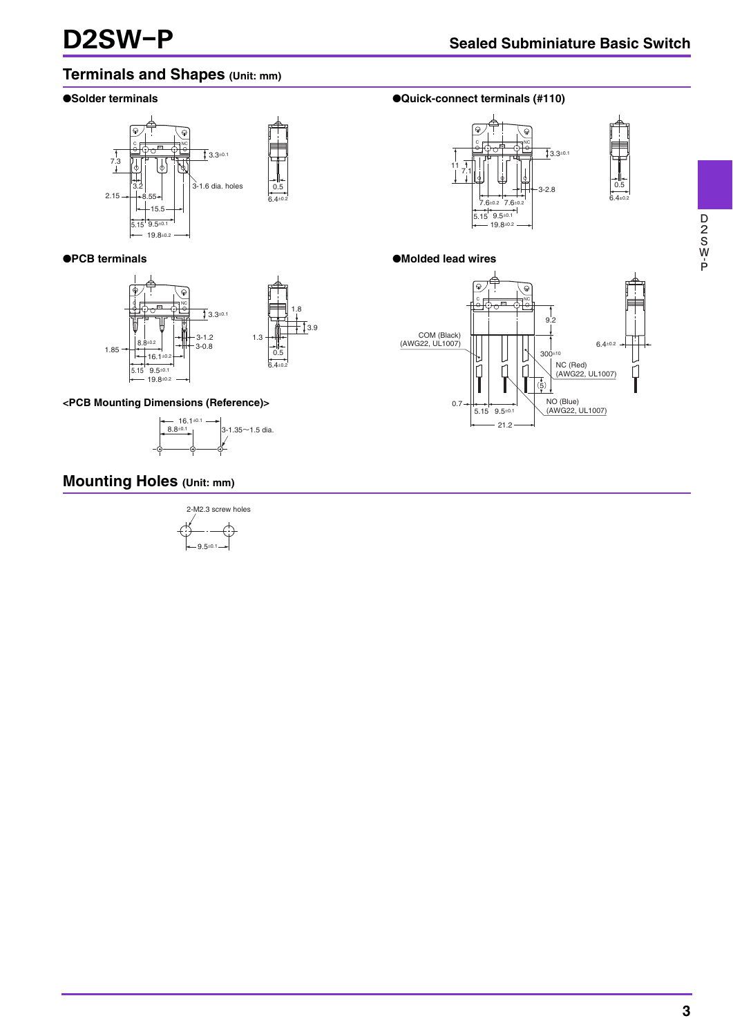$6.4 + 0.2$ 

# **Terminals and Shapes (Unit: mm)**



# ●**PCB terminals**



# **<PCB Mounting Dimensions (Reference)>**



# ●**Solder terminals** ●**Solder terminals** (#110)



## ●**Molded lead wires**



# **Mounting Holes (Unit: mm)**

2-M2.3 screw holes  
\n
$$
- \underbrace{\qquad \qquad }_{\leftarrow 9.5^{\pm 0.1} \rightarrow}
$$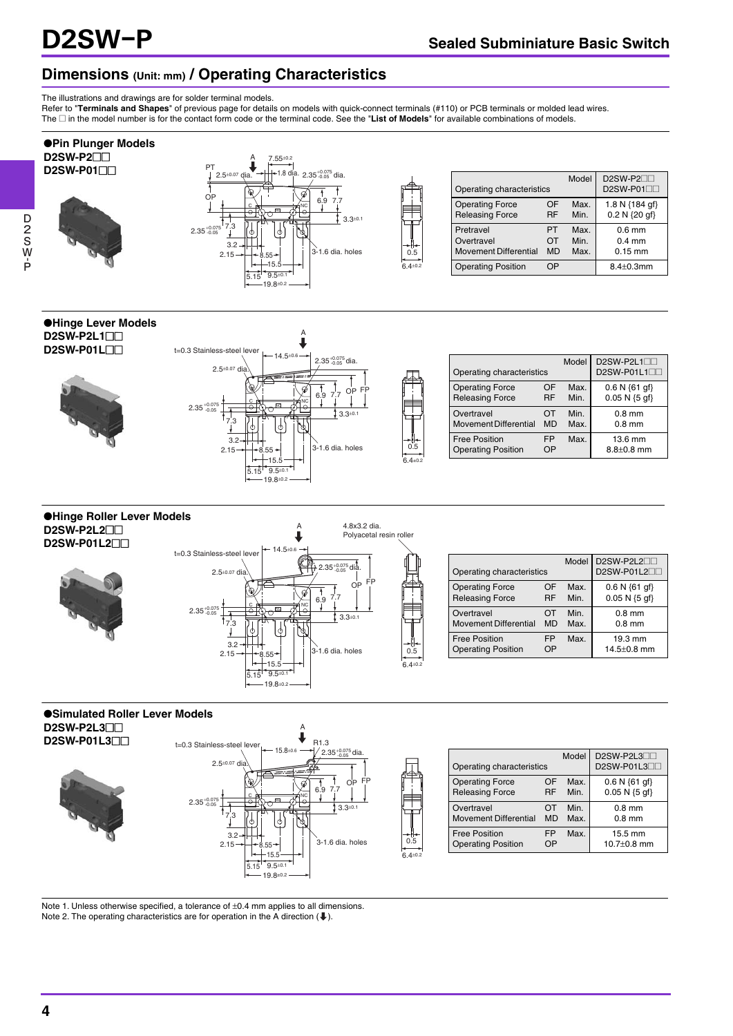# **Dimensions (Unit: mm) / Operating Characteristics**

The illustrations and drawings are for solder terminal models.

Refer to "**Terminals and Shapes**" of previous page for details on models with quick-connect terminals (#110) or PCB terminals or molded lead wires. The @ in the model number is for the contact form code or the terminal code. See the "**List of Models**" for available combinations of models.



0.5 6.4±0.2

0.5

0.5  $6.4+0.2$ 

**D2SW**





| Model<br>Operating characteristics                |           |      | D2SW-P2L1<br>D2SW-P01L1 |
|---------------------------------------------------|-----------|------|-------------------------|
| <b>Operating Force</b>                            | OF        | Max. | $0.6 N \{61 gf\}$       |
| <b>Releasing Force</b>                            | <b>RF</b> | Min. | $0.05 N {5 of}$         |
| Overtravel                                        | OT        | Min. | $0.8$ mm                |
| <b>Movement Differential</b>                      | <b>MD</b> | Max. | $0.8$ mm                |
| <b>Free Position</b><br><b>Operating Position</b> | FP.<br>OP | Max. |                         |

#### ●**Hinge Roller Lever Models D2SW-P2L2**@@ **D2SW-P01L2**@@



| Operating characteristics    |           | Model | D2SW-P2L2<br>D2SW-P01L2 |
|------------------------------|-----------|-------|-------------------------|
| <b>Operating Force</b>       | OF        | Max.  | $0.6 N \{61 gf\}$       |
| <b>Releasing Force</b>       | RF        | Min   | $0.05 N {5 of}$         |
| Overtravel                   | ΩT        | Min   | $0.8$ mm                |
| <b>Movement Differential</b> | <b>MD</b> | Max   | $0.8$ mm                |
| <b>Free Position</b>         | FP        | Max   | 19.3 mm                 |
| <b>Operating Position</b>    | Pר        |       | $14.5 \pm 0.8$ mm       |

## ●**Simulated Roller Lever Models D2SW-P2L3**

**D2SW-P01L3**@@



| Operating characteristics    |           | Model | D2SW-P2L3<br>D2SW-P01L3   |
|------------------------------|-----------|-------|---------------------------|
| <b>Operating Force</b>       | ΩF        | Max.  | $0.6 N \{61 \text{ qf}\}$ |
| <b>Releasing Force</b>       | <b>RF</b> | Min   | $0.05 N {5 of}$           |
| Overtravel                   | OT        | Min   | $0.8$ mm                  |
| <b>Movement Differential</b> | <b>MD</b> | Max.  | $0.8$ mm                  |
| <b>Free Position</b>         | <b>FP</b> | Max.  | 15.5 mm                   |
| <b>Operating Position</b>    | ΩP        |       | $10.7 + 0.8$ mm           |

Note 1. Unless otherwise specified, a tolerance of  $\pm 0.4$  mm applies to all dimensions. Note 2. The operating characteristics are for operation in the A direction  $($ .

**4**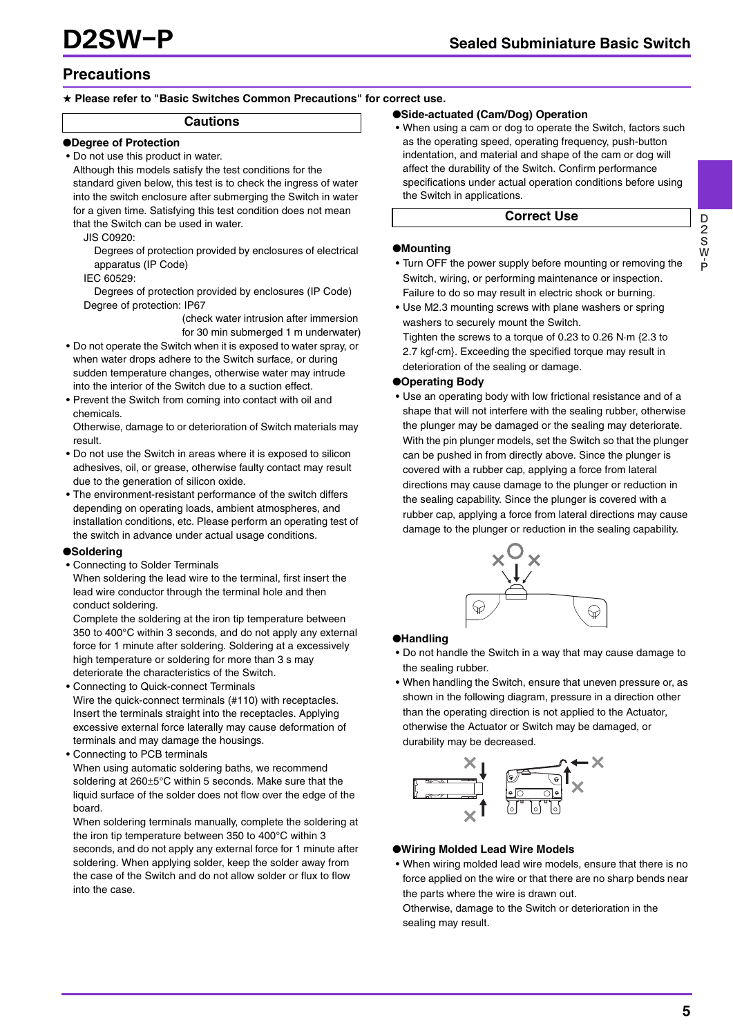# **Precautions**

## ★ **Please refer to "Basic Switches Common Precautions" for correct use.**

### **Cautions**

#### ●**Degree of Protection**

• Do not use this product in water.

Although this models satisfy the test conditions for the standard given below, this test is to check the ingress of water into the switch enclosure after submerging the Switch in water for a given time. Satisfying this test condition does not mean that the Switch can be used in water.

JIS C0920:

Degrees of protection provided by enclosures of electrical apparatus (IP Code)

IEC 60529:

Degrees of protection provided by enclosures (IP Code) Degree of protection: IP67

(check water intrusion after immersion for 30 min submerged 1 m underwater)

- Do not operate the Switch when it is exposed to water spray, or when water drops adhere to the Switch surface, or during sudden temperature changes, otherwise water may intrude into the interior of the Switch due to a suction effect.
- Prevent the Switch from coming into contact with oil and chemicals.

Otherwise, damage to or deterioration of Switch materials may result.

- Do not use the Switch in areas where it is exposed to silicon adhesives, oil, or grease, otherwise faulty contact may result due to the generation of silicon oxide.
- The environment-resistant performance of the switch differs depending on operating loads, ambient atmospheres, and installation conditions, etc. Please perform an operating test of the switch in advance under actual usage conditions.

### ●**Soldering**

• Connecting to Solder Terminals

When soldering the lead wire to the terminal, first insert the lead wire conductor through the terminal hole and then conduct soldering.

Complete the soldering at the iron tip temperature between 350 to 400°C within 3 seconds, and do not apply any external force for 1 minute after soldering. Soldering at a excessively high temperature or soldering for more than 3 s may deteriorate the characteristics of the Switch.

• Connecting to Quick-connect Terminals

Wire the quick-connect terminals (#110) with receptacles. Insert the terminals straight into the receptacles. Applying excessive external force laterally may cause deformation of terminals and may damage the housings.

• Connecting to PCB terminals

When using automatic soldering baths, we recommend soldering at 260±5°C within 5 seconds. Make sure that the liquid surface of the solder does not flow over the edge of the board.

When soldering terminals manually, complete the soldering at the iron tip temperature between 350 to 400°C within 3 seconds, and do not apply any external force for 1 minute after soldering. When applying solder, keep the solder away from the case of the Switch and do not allow solder or flux to flow into the case.

## ●**Side-actuated (Cam/Dog) Operation**

• When using a cam or dog to operate the Switch, factors such as the operating speed, operating frequency, push-button indentation, and material and shape of the cam or dog will affect the durability of the Switch. Confirm performance specifications under actual operation conditions before using the Switch in applications.

### **Correct Use**

#### ●**Mounting**

- Turn OFF the power supply before mounting or removing the Switch, wiring, or performing maintenance or inspection. Failure to do so may result in electric shock or burning.
- Use M2.3 mounting screws with plane washers or spring washers to securely mount the Switch.
	- Tighten the screws to a torque of 0.23 to 0.26 N·m {2.3 to 2.7 kgf·cm}. Exceeding the specified torque may result in deterioration of the sealing or damage.

#### ●**Operating Body**

• Use an operating body with low frictional resistance and of a shape that will not interfere with the sealing rubber, otherwise the plunger may be damaged or the sealing may deteriorate. With the pin plunger models, set the Switch so that the plunger can be pushed in from directly above. Since the plunger is covered with a rubber cap, applying a force from lateral directions may cause damage to the plunger or reduction in the sealing capability. Since the plunger is covered with a rubber cap, applying a force from lateral directions may cause damage to the plunger or reduction in the sealing capability.



### ●**Handling**

- Do not handle the Switch in a way that may cause damage to the sealing rubber.
- When handling the Switch, ensure that uneven pressure or, as shown in the following diagram, pressure in a direction other than the operating direction is not applied to the Actuator, otherwise the Actuator or Switch may be damaged, or durability may be decreased.



### ●**Wiring Molded Lead Wire Models**

• When wiring molded lead wire models, ensure that there is no force applied on the wire or that there are no sharp bends near the parts where the wire is drawn out.

Otherwise, damage to the Switch or deterioration in the sealing may result.